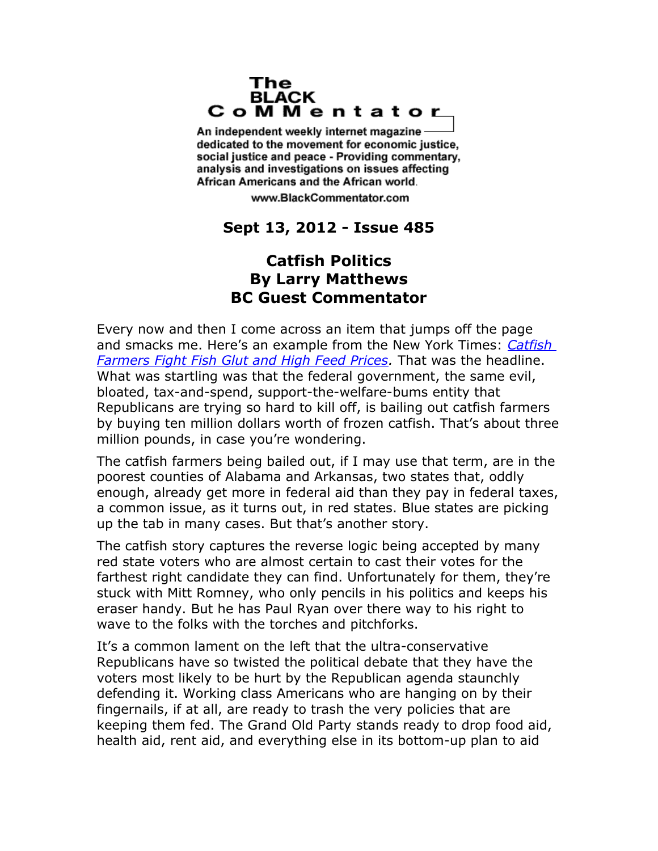## The **BLACK** CoMMentator

An independent weekly internet magazine dedicated to the movement for economic justice. social justice and peace - Providing commentary, analysis and investigations on issues affecting African Americans and the African world.

www.BlackCommentator.com

## **Sept 13, 2012 - Issue 485**

## **Catfish Politics By Larry Matthews BC Guest Commentator**

Every now and then I come across an item that jumps off the page and smacks me. Here's an example from the New York Times: *[Catfish](http://www.nytimes.com/2012/09/01/business/markets-and-drought-hurting-us-catfish-producers.html)  [Farmers Fight Fish Glut and High Feed Prices.](http://www.nytimes.com/2012/09/01/business/markets-and-drought-hurting-us-catfish-producers.html)* That was the headline. What was startling was that the federal government, the same evil, bloated, tax-and-spend, support-the-welfare-bums entity that Republicans are trying so hard to kill off, is bailing out catfish farmers by buying ten million dollars worth of frozen catfish. That's about three million pounds, in case you're wondering.

The catfish farmers being bailed out, if I may use that term, are in the poorest counties of Alabama and Arkansas, two states that, oddly enough, already get more in federal aid than they pay in federal taxes, a common issue, as it turns out, in red states. Blue states are picking up the tab in many cases. But that's another story.

The catfish story captures the reverse logic being accepted by many red state voters who are almost certain to cast their votes for the farthest right candidate they can find. Unfortunately for them, they're stuck with Mitt Romney, who only pencils in his politics and keeps his eraser handy. But he has Paul Ryan over there way to his right to wave to the folks with the torches and pitchforks.

It's a common lament on the left that the ultra-conservative Republicans have so twisted the political debate that they have the voters most likely to be hurt by the Republican agenda staunchly defending it. Working class Americans who are hanging on by their fingernails, if at all, are ready to trash the very policies that are keeping them fed. The Grand Old Party stands ready to drop food aid, health aid, rent aid, and everything else in its bottom-up plan to aid